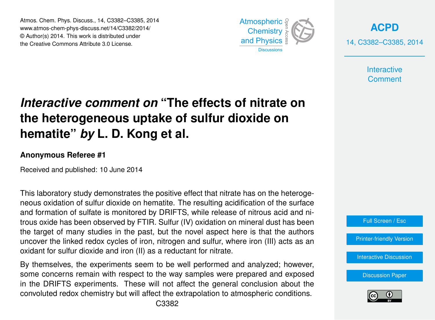Atmos. Chem. Phys. Discuss., 14, C3382–C3385, 2014 www.atmos-chem-phys-discuss.net/14/C3382/2014/ © Author(s) 2014. This work is distributed under the Creative Commons Attribute 3.0 License.



**[ACPD](http://www.atmos-chem-phys-discuss.net)** 14, C3382–C3385, 2014

> **Interactive Comment**

## *Interactive comment on* **"The effects of nitrate on the heterogeneous uptake of sulfur dioxide on hematite"** *by* **L. D. Kong et al.**

## **Anonymous Referee #1**

Received and published: 10 June 2014

This laboratory study demonstrates the positive effect that nitrate has on the heterogeneous oxidation of sulfur dioxide on hematite. The resulting acidification of the surface and formation of sulfate is monitored by DRIFTS, while release of nitrous acid and nitrous oxide has been observed by FTIR. Sulfur (IV) oxidation on mineral dust has been the target of many studies in the past, but the novel aspect here is that the authors uncover the linked redox cycles of iron, nitrogen and sulfur, where iron (III) acts as an oxidant for sulfur dioxide and iron (II) as a reductant for nitrate.

By themselves, the experiments seem to be well performed and analyzed; however, some concerns remain with respect to the way samples were prepared and exposed in the DRIFTS experiments. These will not affect the general conclusion about the convoluted redox chemistry but will affect the extrapolation to atmospheric conditions.



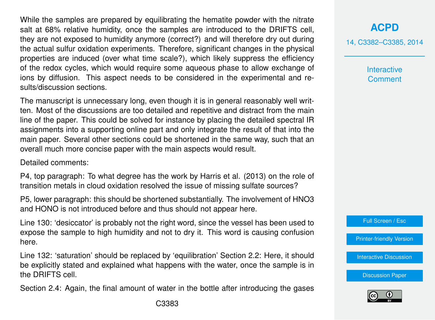While the samples are prepared by equilibrating the hematite powder with the nitrate salt at 68% relative humidity, once the samples are introduced to the DRIFTS cell, they are not exposed to humidity anymore (correct?) and will therefore dry out during the actual sulfur oxidation experiments. Therefore, significant changes in the physical properties are induced (over what time scale?), which likely suppress the efficiency of the redox cycles, which would require some aqueous phase to allow exchange of ions by diffusion. This aspect needs to be considered in the experimental and results/discussion sections.

The manuscript is unnecessary long, even though it is in general reasonably well written. Most of the discussions are too detailed and repetitive and distract from the main line of the paper. This could be solved for instance by placing the detailed spectral IR assignments into a supporting online part and only integrate the result of that into the main paper. Several other sections could be shortened in the same way, such that an overall much more concise paper with the main aspects would result.

Detailed comments:

P4, top paragraph: To what degree has the work by Harris et al. (2013) on the role of transition metals in cloud oxidation resolved the issue of missing sulfate sources?

P5, lower paragraph: this should be shortened substantially. The involvement of HNO3 and HONO is not introduced before and thus should not appear here.

Line 130: 'desiccator' is probably not the right word, since the vessel has been used to expose the sample to high humidity and not to dry it. This word is causing confusion here.

Line 132: 'saturation' should be replaced by 'equilibration' Section 2.2: Here, it should be explicitly stated and explained what happens with the water, once the sample is in the DRIFTS cell.

Section 2.4: Again, the final amount of water in the bottle after introducing the gases

**[ACPD](http://www.atmos-chem-phys-discuss.net)**

14, C3382–C3385, 2014

**Interactive Comment** 

Full Screen / Esc

[Printer-friendly Version](http://www.atmos-chem-phys-discuss.net/14/C3382/2014/acpd-14-C3382-2014-print.pdf)

[Interactive Discussion](http://www.atmos-chem-phys-discuss.net/14/11577/2014/acpd-14-11577-2014-discussion.html)

[Discussion Paper](http://www.atmos-chem-phys-discuss.net/14/11577/2014/acpd-14-11577-2014.pdf)

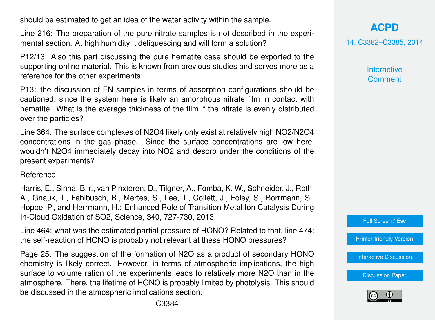should be estimated to get an idea of the water activity within the sample.

Line 216: The preparation of the pure nitrate samples is not described in the experimental section. At high humidity it deliquescing and will form a solution?

P12/13: Also this part discussing the pure hematite case should be exported to the supporting online material. This is known from previous studies and serves more as a reference for the other experiments.

P13: the discussion of FN samples in terms of adsorption configurations should be cautioned, since the system here is likely an amorphous nitrate film in contact with hematite. What is the average thickness of the film if the nitrate is evenly distributed over the particles?

Line 364: The surface complexes of N2O4 likely only exist at relatively high NO2/N2O4 concentrations in the gas phase. Since the surface concentrations are low here, wouldn't N2O4 immediately decay into NO2 and desorb under the conditions of the present experiments?

Reference

Harris, E., Sinha, B. r., van Pinxteren, D., Tilgner, A., Fomba, K. W., Schneider, J., Roth, A., Gnauk, T., Fahlbusch, B., Mertes, S., Lee, T., Collett, J., Foley, S., Borrmann, S., Hoppe, P., and Herrmann, H.: Enhanced Role of Transition Metal Ion Catalysis During In-Cloud Oxidation of SO2, Science, 340, 727-730, 2013.

Line 464: what was the estimated partial pressure of HONO? Related to that, line 474: the self-reaction of HONO is probably not relevant at these HONO pressures?

Page 25: The suggestion of the formation of N2O as a product of secondary HONO chemistry is likely correct. However, in terms of atmospheric implications, the high surface to volume ration of the experiments leads to relatively more N2O than in the atmosphere. There, the lifetime of HONO is probably limited by photolysis. This should be discussed in the atmospheric implications section.

**[ACPD](http://www.atmos-chem-phys-discuss.net)** 14, C3382–C3385, 2014

> **Interactive Comment**

Full Screen / Esc

[Printer-friendly Version](http://www.atmos-chem-phys-discuss.net/14/C3382/2014/acpd-14-C3382-2014-print.pdf)

[Interactive Discussion](http://www.atmos-chem-phys-discuss.net/14/11577/2014/acpd-14-11577-2014-discussion.html)

[Discussion Paper](http://www.atmos-chem-phys-discuss.net/14/11577/2014/acpd-14-11577-2014.pdf)